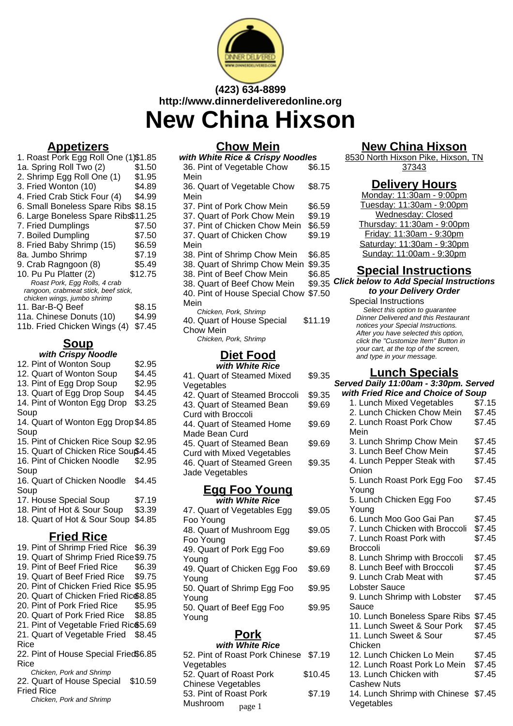

## **(423) 634-8899 http://www.dinnerdeliveredonline.org New China Hixson**

## **Appetizers**

| 1. Roast Pork Egg Roll One (1)\$1.85 |         |
|--------------------------------------|---------|
| 1a. Spring Roll Two (2)              | \$1.50  |
| 2. Shrimp Egg Roll One (1)           | \$1.95  |
| 3. Fried Wonton (10)                 | \$4.89  |
| 4. Fried Crab Stick Four (4)         | \$4.99  |
| 6. Small Boneless Spare Ribs \$8.15  |         |
| 6. Large Boneless Spare Ribs\$11.25  |         |
| 7. Fried Dumplings                   | \$7.50  |
| 7. Boiled Dumpling                   | \$7.50  |
| 8. Fried Baby Shrimp (15)            | \$6.59  |
| 8a. Jumbo Shrimp                     | \$7.19  |
| 9. Crab Ragngoon (8)                 | \$5.49  |
| 10. Pu Pu Platter (2)                | \$12.75 |
| Roast Pork, Egg Rolls, 4 crab        |         |
| rangoon, crabmeat stick, beef stick, |         |
| chicken wings, jumbo shrimp          |         |
| 11. Bar-B-Q Beef                     | \$8.15  |
| 11a. Chinese Donuts (10)             | \$4.99  |
| 11b. Fried Chicken Wings (4)         | \$7.45  |

## **Soup**

|  |  | with Crispy Noodle |  |
|--|--|--------------------|--|
|  |  |                    |  |

| 12. Pint of Wonton Soup              | \$2.95 |
|--------------------------------------|--------|
| 12. Quart of Wonton Soup             | \$4.45 |
| 13. Pint of Egg Drop Soup            | \$2.95 |
| 13. Quart of Egg Drop Soup           | \$4.45 |
| 14. Pint of Wonton Egg Drop          | \$3.25 |
| Soup                                 |        |
| 14. Quart of Wonton Egg Drop \$4.85  |        |
| Soup                                 |        |
| 15. Pint of Chicken Rice Soup \$2.95 |        |
| 15. Quart of Chicken Rice Souß4.45   |        |
| 16. Pint of Chicken Noodle           | \$2.95 |
| Soup                                 |        |
| 16. Quart of Chicken Noodle          | \$4.45 |
| Soup                                 |        |
| 17. House Special Soup               | \$7.19 |
| 18. Pint of Hot & Sour Soup          | \$3.39 |
| 18. Quart of Hot & Sour Soup         | \$4.85 |
|                                      |        |
| <b>Fried Rice</b>                    |        |
| $10.$ Dint of Chrimn Erical Dinc.    | ድድ ኃስ  |

| 19. Pint of Shrimp Fried Rice         | \$6.39  |
|---------------------------------------|---------|
| 19. Quart of Shrimp Fried Rice \$9.75 |         |
| 19. Pint of Beef Fried Rice           | \$6.39  |
| 19. Quart of Beef Fried Rice          | \$9.75  |
| 20. Pint of Chicken Fried Rice \$5.95 |         |
| 20. Quart of Chicken Fried Rico8.85   |         |
| 20. Pint of Pork Fried Rice           | \$5.95  |
| 20. Quart of Pork Fried Rice          | \$8.85  |
| 21. Pint of Vegetable Fried Ric\$5.69 |         |
| 21. Quart of Vegetable Fried          | \$8.45  |
| Rice                                  |         |
| 22. Pint of House Special Fried\$6.85 |         |
| Rice                                  |         |
| Chicken, Pork and Shrimp              |         |
| 22. Quart of House Special            | \$10.59 |
| Fried Rice                            |         |
|                                       |         |

Chicken, Pork and Shrimp

#### **Chow Mein**

| with White Rice & Crispy Noodles |         |  |
|----------------------------------|---------|--|
| 36. Pint of Vegetable Chow       | \$6.15  |  |
| Mein                             |         |  |
| 36. Quart of Vegetable Chow      | \$8.75  |  |
| Mein                             |         |  |
| 37. Pint of Pork Chow Mein       | \$6.59  |  |
| 37. Quart of Pork Chow Mein      | \$9.19  |  |
| 37. Pint of Chicken Chow Mein    | \$6.59  |  |
| 37. Quart of Chicken Chow        | \$9.19  |  |
| Mein                             |         |  |
| 38. Pint of Shrimp Chow Mein     | \$6.85  |  |
| 38. Quart of Shrimp Chow Mein    | \$9.35  |  |
| 38. Pint of Beef Chow Mein       | \$6.85  |  |
| 38. Quart of Beef Chow Mein      | \$9.35  |  |
| 40. Pint of House Special Chow   | \$7.50  |  |
| Mein                             |         |  |
| Chicken, Pork, Shrimp            |         |  |
| 40. Quart of House Special       | \$11.19 |  |
| Chow Mein                        |         |  |
| Chicken, Pork, Shrimp            |         |  |
| R:.1 F                           |         |  |

#### **Diet Food with White Rice**

| 41. Quart of Steamed Mixed        | \$9.35 |  |
|-----------------------------------|--------|--|
| Vegetables                        |        |  |
| 42. Quart of Steamed Broccoli     | \$9.35 |  |
| 43. Quart of Steamed Bean         | \$9.69 |  |
| Curd with Broccoli                |        |  |
| 44. Quart of Steamed Home         | \$9.69 |  |
| Made Bean Curd                    |        |  |
| 45. Quart of Steamed Bean         | \$9.69 |  |
| <b>Curd with Mixed Vegetables</b> |        |  |
| 46. Quart of Steamed Green        | \$9.35 |  |
| Jade Vegetables                   |        |  |
|                                   |        |  |

#### **Egg Foo Young with White Rice**

| willi willie Rice            |        |
|------------------------------|--------|
| 47. Quart of Vegetables Egg  | \$9.05 |
| Foo Young                    |        |
| 48. Quart of Mushroom Egg    | \$9.05 |
| Foo Young                    |        |
| 49. Quart of Pork Egg Foo    | \$9.69 |
| Young                        |        |
| 49. Quart of Chicken Egg Foo | \$9.69 |
| Young                        |        |
| 50. Quart of Shrimp Egg Foo  | \$9.95 |
| Young                        |        |
| 50. Quart of Beef Egg Foo    | \$9.95 |
| Young                        |        |
|                              |        |

#### **Pork with White Rice**

| WILLI WIIILE RILE                     |         |
|---------------------------------------|---------|
| 52. Pint of Roast Pork Chinese \$7.19 |         |
| Vegetables                            |         |
| 52. Quart of Roast Pork               | \$10.45 |
| Chinese Vegetables                    |         |
| 53. Pint of Roast Pork                | \$7.19  |
| Mushroom<br>page 1                    |         |

## **New China Hixson**

8530 North Hixson Pike, Hixson, TN 37343

#### **Delivery Hours**

Monday: 11:30am - 9:00pm Tuesday: 11:30am - 9:00pm Wednesday: Closed Thursday: 11:30am - 9:00pm Friday: 11:30am - 9:30pm Saturday: 11:30am - 9:30pm Sunday: 11:00am - 9:30pm

### **Special Instructions**

**Click below to Add Special Instructions to your Delivery Order**

Special Instructions Select this option to quarantee Dinner Delivered and this Restaurant notices your Special Instructions. After you have selected this option, click the "Customize Item" Button in your cart, at the top of the screen, and type in your message.

## **Lunch Specials**

| Served Daily 11:00am - 3:30pm. Served |        |
|---------------------------------------|--------|
| with Fried Rice and Choice of Soup    |        |
| 1. Lunch Mixed Vegetables             | \$7.15 |
| 2. Lunch Chicken Chow Mein            | \$7.45 |
| 2. Lunch Roast Pork Chow              | \$7.45 |
| Mein                                  |        |
| 3. Lunch Shrimp Chow Mein             | \$7.45 |
| 3. Lunch Beef Chow Mein               | \$7.45 |
| 4. Lunch Pepper Steak with            | \$7.45 |
| Onion                                 |        |
| 5. Lunch Roast Pork Egg Foo           | \$7.45 |
| Young                                 |        |
| 5. Lunch Chicken Egg Foo              | \$7.45 |
| Young                                 |        |
| 6. Lunch Moo Goo Gai Pan              | \$7.45 |
| 7. Lunch Chicken with Broccoli        | \$7.45 |
| 7. Lunch Roast Pork with              | \$7.45 |
| <b>Broccoli</b>                       |        |
| 8. Lunch Shrimp with Broccoli         | \$7.45 |
| 8. Lunch Beef with Broccoli           | \$7.45 |
| 9. Lunch Crab Meat with               | \$7.45 |
| Lobster Sauce                         |        |
| 9. Lunch Shrimp with Lobster          | \$7.45 |
| Sauce                                 |        |
| 10. Lunch Boneless Spare Ribs         | \$7.45 |
| 11. Lunch Sweet & Sour Pork           | \$7.45 |
| 11. Lunch Sweet & Sour                | \$7.45 |
| Chicken                               |        |
| 12. Lunch Chicken Lo Mein             | \$7.45 |
| 12. Lunch Roast Pork Lo Mein          | \$7.45 |
| 13. Lunch Chicken with                | \$7.45 |
| Cashew Nuts                           |        |
| 14. Lunch Shrimp with Chinese \$7.45  |        |
| Vegetables                            |        |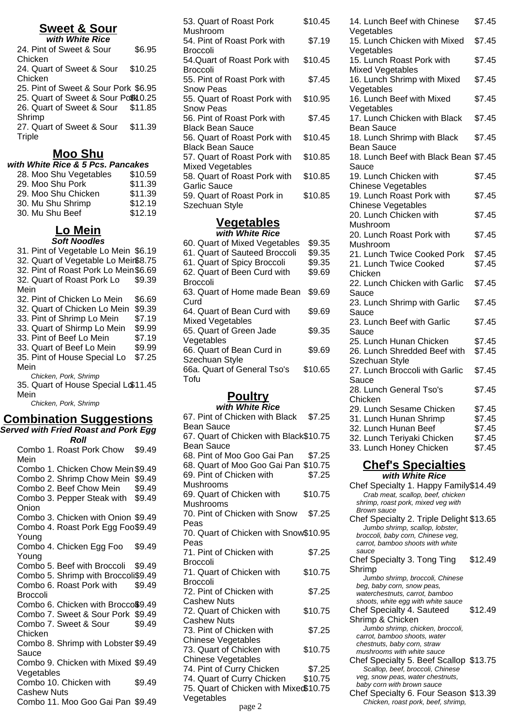#### **Sweet & Sour with White Rice**

| WILLI WILLIE RICE                    |         |
|--------------------------------------|---------|
| 24. Pint of Sweet & Sour             | \$6.95  |
| Chicken                              |         |
| 24. Quart of Sweet & Sour            | \$10.25 |
| Chicken                              |         |
| 25. Pint of Sweet & Sour Pork \$6.95 |         |
| 25. Quart of Sweet & Sour Port 0.25  |         |
| 26. Quart of Sweet & Sour \$11.85    |         |
| Shrimp                               |         |
| 27. Quart of Sweet & Sour            | \$11.39 |
| Triple                               |         |
|                                      |         |

## **Moo Shu**

| with White Rice & 5 Pcs. Pancakes |         |  |
|-----------------------------------|---------|--|
| 28. Moo Shu Vegetables            | \$10.59 |  |
| 29. Moo Shu Pork                  | \$11.39 |  |
| 29. Moo Shu Chicken               | \$11.39 |  |
| 30. Mu Shu Shrimp                 | \$12.19 |  |
| 30. Mu Shu Beef                   | \$12.19 |  |

## **Lo Mein**

**Soft Noodles** 31. Pint of Vegetable Lo Mein \$6.19 32. Quart of Vegetable Lo Mein\$8.75 32. Pint of Roast Pork Lo Mein\$6.69 32. Quart of Roast Pork Lo Mein \$9.39 32. Pint of Chicken Lo Mein \$6.69 32. Quart of Chicken Lo Mein \$9.39 33. Pint of Shrimp Lo Mein \$7.19 33. Quart of Shirmp Lo Mein \$9.99 33. Pint of Beef Lo Mein \$7.19 33. Quart of Beef Lo Mein \$9.99 35. Pint of House Special Lo Mein \$7.25 Chicken, Pork, Shrimp 35. Quart of House Special Lo \$11.45 Mein Chicken, Pork, Shrimp

### **Combination Suggestions**

| <b>Served with Fried Roast and Pork Egg</b> |        |  |
|---------------------------------------------|--------|--|
| Roll                                        |        |  |
| Combo 1. Roast Pork Chow                    | \$9.49 |  |
| Mein                                        |        |  |
| Combo 1. Chicken Chow Mein \$9.49           |        |  |
| Combo 2. Shrimp Chow Mein \$9.49            |        |  |
| Combo 2. Beef Chow Mein                     | \$9.49 |  |
| Combo 3. Pepper Steak with \$9.49           |        |  |
| Onion                                       |        |  |
| Combo 3. Chicken with Onion \$9.49          |        |  |
| Combo 4. Roast Pork Egg Foo\$9.49           |        |  |
| Young                                       |        |  |
| Combo 4. Chicken Egg Foo                    | \$9.49 |  |
| Young                                       |        |  |
| Combo 5. Beef with Broccoli                 | \$9.49 |  |
| Combo 5. Shrimp with Broccoli\$9.49         |        |  |
| Combo 6. Roast Pork with                    | \$9.49 |  |
| Broccoli                                    |        |  |
| Combo 6. Chicken with Brocco\$9.49          |        |  |
| Combo 7. Sweet & Sour Pork \$9.49           |        |  |
| Combo 7. Sweet & Sour                       | \$9.49 |  |
| Chicken                                     |        |  |
| Combo 8. Shrimp with Lobster \$9.49         |        |  |
| Sauce                                       |        |  |
| Combo 9. Chicken with Mixed \$9.49          |        |  |
| Vegetables                                  |        |  |
| Combo 10. Chicken with                      | \$9.49 |  |
| <b>Cashew Nuts</b>                          |        |  |
| Combo 11. Moo Goo Gai Pan \$9.49            |        |  |
|                                             |        |  |

| 53. Quart of Roast Pork                                      | \$10.45 |
|--------------------------------------------------------------|---------|
| Mushroom<br>54. Pint of Roast Pork with                      | \$7.19  |
| <b>Broccoli</b><br>54.Quart of Roast Pork with               | \$10.45 |
| Broccoli                                                     |         |
| 55. Pint of Roast Pork with                                  | \$7.45  |
| Snow Peas                                                    |         |
| 55. Quart of Roast Pork with<br>Snow Peas                    | \$10.95 |
| 56. Pint of Roast Pork with                                  | \$7.45  |
| <b>Black Bean Sauce</b>                                      |         |
| 56. Quart of Roast Pork with                                 | \$10.45 |
| <b>Black Bean Sauce</b><br>57. Quart of Roast Pork with      | \$10.85 |
| Mixed Vegetables                                             |         |
| 58. Quart of Roast Pork with                                 | \$10.85 |
| Garlic Sauce<br>59. Quart of Roast Pork in<br>Szechuan Style | \$10.85 |
|                                                              |         |

# **Vegetables**

| with White Rice               |         |  |
|-------------------------------|---------|--|
| 60. Quart of Mixed Vegetables | \$9.35  |  |
| 61. Quart of Sauteed Broccoli | \$9.35  |  |
| 61. Quart of Spicy Broccoli   | \$9.35  |  |
| 62. Quart of Been Curd with   | \$9.69  |  |
| <b>Broccoli</b>               |         |  |
| 63. Quart of Home made Bean   | \$9.69  |  |
| Curd                          |         |  |
| 64. Quart of Bean Curd with   | \$9.69  |  |
| <b>Mixed Vegetables</b>       |         |  |
| 65. Quart of Green Jade       | \$9.35  |  |
| Vegetables                    |         |  |
| 66. Quart of Bean Curd in     | \$9.69  |  |
| Szechuan Style                |         |  |
| 66a. Quart of General Tso's   | \$10.65 |  |
| Tofu                          |         |  |

# **Poultry**

| with White Rice                                             |         |  |
|-------------------------------------------------------------|---------|--|
| 67. Pint of Chicken with Black                              | \$7.25  |  |
| Bean Sauce                                                  |         |  |
| 67. Quart of Chicken with Black\$10.75<br><b>Bean Sauce</b> |         |  |
|                                                             |         |  |
| 68. Pint of Moo Goo Gai Pan                                 | \$7.25  |  |
| 68. Quart of Moo Goo Gai Pan \$10.75                        |         |  |
| 69. Pint of Chicken with                                    | \$7.25  |  |
| Mushrooms                                                   |         |  |
| 69. Quart of Chicken with                                   | \$10.75 |  |
| Mushrooms                                                   |         |  |
| 70. Pint of Chicken with Snow                               | \$7.25  |  |
| Peas                                                        |         |  |
| 70. Quart of Chicken with Snow\$10.95                       |         |  |
| Peas                                                        |         |  |
| 71. Pint of Chicken with                                    | \$7.25  |  |
| Broccoli                                                    |         |  |
| 71. Quart of Chicken with                                   | \$10.75 |  |
| Broccoli                                                    |         |  |
| 72. Pint of Chicken with                                    | \$7.25  |  |
| <b>Cashew Nuts</b>                                          |         |  |
| 72. Quart of Chicken with                                   | \$10.75 |  |
| <b>Cashew Nuts</b>                                          |         |  |
| 73. Pint of Chicken with                                    | \$7.25  |  |
| <b>Chinese Vegetables</b>                                   |         |  |
| 73. Quart of Chicken with                                   | \$10.75 |  |
| <b>Chinese Vegetables</b>                                   |         |  |
| 74. Pint of Curry Chicken                                   | \$7.25  |  |
| 74. Quart of Curry Chicken                                  | \$10.75 |  |
| 75. Quart of Chicken with Mixed\$10.75                      |         |  |
| Vegetables                                                  |         |  |
| n                                                           |         |  |

| 14. Lunch Beef with Chinese                                | \$7.45           |
|------------------------------------------------------------|------------------|
| Vegetables<br>15. Lunch Chicken with Mixed                 | \$7.45           |
| Vegetables<br>15. Lunch Roast Pork with                    | \$7.45           |
| Mixed Vegetables<br>16. Lunch Shrimp with Mixed            | \$7.45           |
| Vegetables<br>16. Lunch Beef with Mixed                    | \$7.45           |
| Vegetables<br>17. Lunch Chicken with Black                 | \$7.45           |
| <b>Bean Sauce</b><br>18. Lunch Shrimp with Black           | \$7.45           |
| <b>Bean Sauce</b><br>18. Lunch Beef with Black Bean \$7.45 |                  |
| Sauce<br>19. Lunch Chicken with                            | \$7.45           |
| Chinese Vegetables<br>19. Lunch Roast Pork with            | \$7.45           |
| Chinese Vegetables<br>20. Lunch Chicken with               | \$7.45           |
| Mushroom<br>20. Lunch Roast Pork with                      | \$7.45           |
| Mushroom<br>21. Lunch Twice Cooked Pork                    | \$7.45           |
| 21. Lunch Twice Cooked<br>Chicken                          | \$7.45           |
| 22. Lunch Chicken with Garlic                              | \$7.45           |
| Sauce<br>23. Lunch Shrimp with Garlic                      | \$7.45           |
| Sauce<br>23. Lunch Beef with Garlic                        | \$7.45           |
| Sauce<br>25. Lunch Hunan Chicken                           | \$7.45           |
| 26. Lunch Shredded Beef with<br>Szechuan Style             | \$7.45           |
| 27. Lunch Broccoli with Garlic<br>Sauce                    | \$7.45           |
| 28. Lunch General Tso's<br>Chicken                         | \$7.45           |
| 29. Lunch Sesame Chicken<br>31. Lunch Hunan Shrimp         | \$7.45<br>\$7.45 |
| 32. Lunch Hunan Beef<br>32. Lunch Teriyaki Chicken         | \$7.45<br>\$7.45 |
| 33. Lunch Honey Chicken                                    | \$7.45           |
| <u> Chef's Specialties</u>                                 |                  |

**with White Rice**

Chef Specialty 1. Happy Family\$14.49 Crab meat, scallop, beef, chicken shrimp, roast pork, mixed veg with Brown sauce Chef Specialty 2. Triple Delight \$13.65 Jumbo shrimp, scallop, lobster, broccoli, baby corn, Chinese veg, carrot, bamboo shoots with white sauce Chef Specialty 3. Tong Ting Shrimp \$12.49 Jumbo shrimp, broccoli, Chinese beg, baby corn, snow peas, waterchestnuts, carrot, bamboo shoots, white egg with white sauce Chef Specialty 4. Sauteed Shrimp & Chicken \$12.49 Jumbo shrimp, chicken, broccoli, carrot, bamboo shoots, water chestnuts, baby corn, straw mushrooms with white sauce Chef Specialty 5. Beef Scallop \$13.75 Scallop, beef, broccoli, Chinese veg, snow peas, water chestnuts, baby corn with brown sauce Chef Specialty 6. Four Season \$13.39 Chicken, roast pork, beef, shrimp, page 2